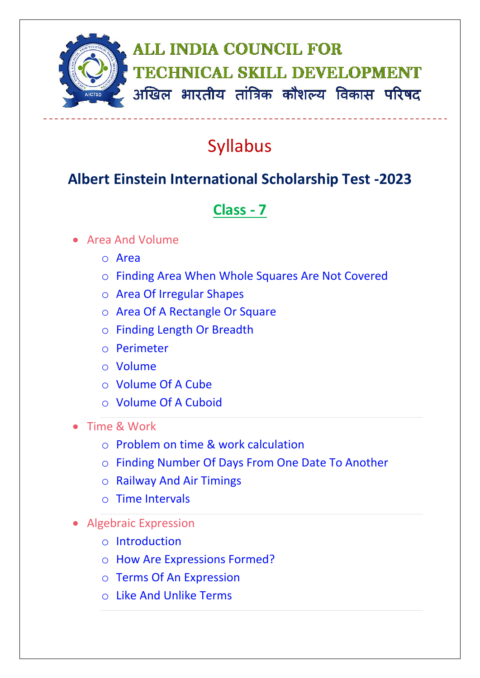

# Syllabus

## **Albert Einstein International Scholarship Test -2023**

## **Class - 7**

#### Area And Volume

- o Area
- o Finding Area When Whole Squares Are Not Covered
- o Area Of Irregular Shapes
- o Area Of A Rectangle Or Square
- o Finding Length Or Breadth
- o Perimeter
- o Volume
- o Volume Of A Cube
- o Volume Of A Cuboid
- Time & Work
	- o Problem on time & work calculation
	- o Finding Number Of Days From One Date To Another
	- o Railway And Air Timings
	- o Time Intervals
- Algebraic Expression
	- o Introduction
	- o How Are Expressions Formed?
	- o Terms Of An Expression
	- o Like And Unlike Terms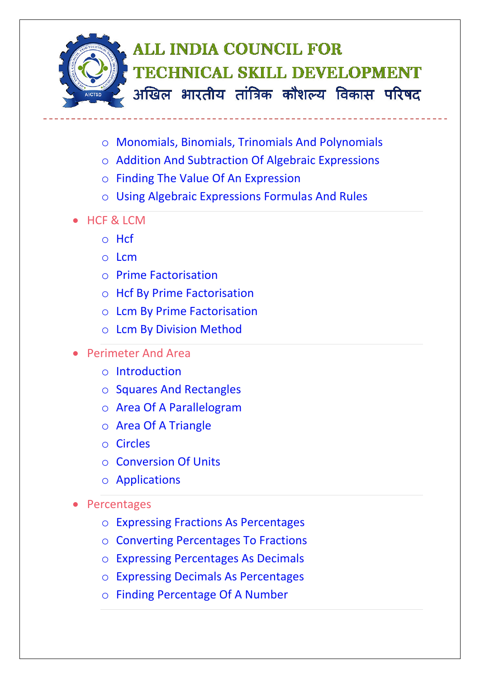

- o Monomials, Binomials, Trinomials And Polynomials
- o Addition And Subtraction Of Algebraic Expressions
- o Finding The Value Of An Expression
- o Using Algebraic Expressions Formulas And Rules
- HCF & LCM
	- o Hcf
	- o Lcm
	- o Prime Factorisation
	- o Hcf By Prime Factorisation
	- o Lcm By Prime Factorisation
	- o Lcm By Division Method
- Perimeter And Area
	- o Introduction
	- o Squares And Rectangles
	- o Area Of A Parallelogram
	- o Area Of A Triangle
	- o Circles
	- o Conversion Of Units
	- o Applications

#### • Percentages

- o Expressing Fractions As Percentages
- o Converting Percentages To Fractions
- o Expressing Percentages As Decimals
- o Expressing Decimals As Percentages
- o Finding Percentage Of A Number